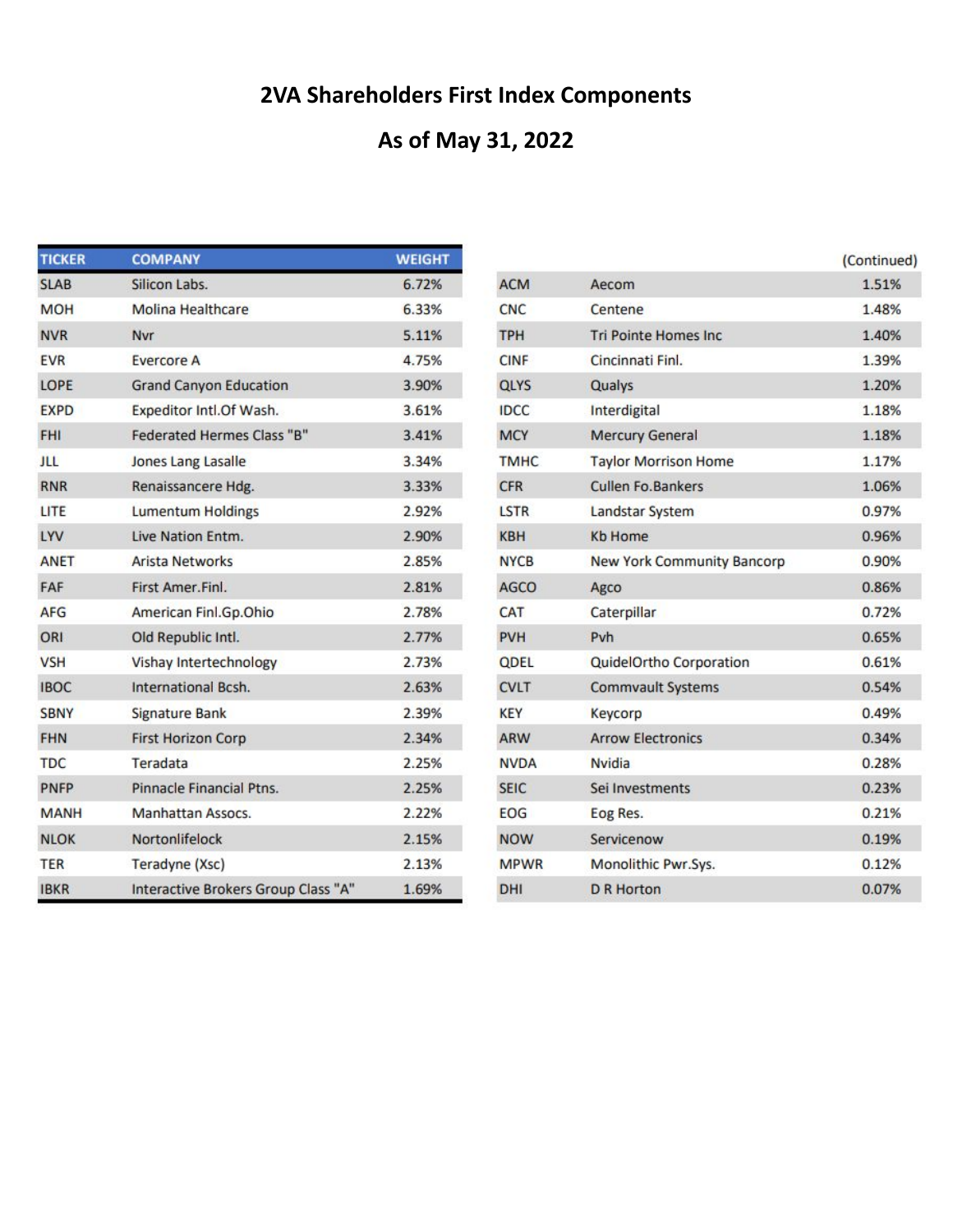# **2VA Shareholders First Index Components**

## **As of May 31, 2022**

| <b>TICKER</b> | <b>COMPANY</b>                      | <b>WEIGHT</b> |
|---------------|-------------------------------------|---------------|
| <b>SLAB</b>   | Silicon Labs.                       | 6.72%         |
| <b>MOH</b>    | <b>Molina Healthcare</b>            | 6.33%         |
| <b>NVR</b>    | Nvr                                 | 5.11%         |
| <b>EVR</b>    | <b>Evercore A</b>                   | 4.75%         |
| LOPE          | <b>Grand Canyon Education</b>       | 3.90%         |
| <b>EXPD</b>   | Expeditor Intl.Of Wash.             | 3.61%         |
| <b>FHI</b>    | <b>Federated Hermes Class "B"</b>   | 3.41%         |
| ш             | Jones Lang Lasalle                  | 3.34%         |
| <b>RNR</b>    | Renaissancere Hdg.                  | 3.33%         |
| LITE          | <b>Lumentum Holdings</b>            | 2.92%         |
| LYV           | Live Nation Entm.                   | 2.90%         |
| <b>ANET</b>   | <b>Arista Networks</b>              | 2.85%         |
| FAF           | First Amer.Finl.                    | 2.81%         |
| <b>AFG</b>    | American Finl.Gp.Ohio               | 2.78%         |
| ORI           | Old Republic Intl.                  | 2.77%         |
| <b>VSH</b>    | Vishay Intertechnology              | 2.73%         |
| <b>IBOC</b>   | International Bcsh.                 | 2.63%         |
| <b>SBNY</b>   | <b>Signature Bank</b>               | 2.39%         |
| <b>FHN</b>    | <b>First Horizon Corp</b>           | 2.34%         |
| <b>TDC</b>    | Teradata                            | 2.25%         |
| <b>PNFP</b>   | Pinnacle Financial Ptns.            | 2.25%         |
| <b>MANH</b>   | Manhattan Assocs.                   | 2.22%         |
| <b>NLOK</b>   | Nortonlifelock                      | 2.15%         |
| <b>TER</b>    | Teradyne (Xsc)                      | 2.13%         |
| <b>IBKR</b>   | Interactive Brokers Group Class "A" | 1.69%         |

|             |                                   | (Continued) |
|-------------|-----------------------------------|-------------|
| <b>ACM</b>  | Aecom                             | 1.51%       |
| <b>CNC</b>  | Centene                           | 1.48%       |
| <b>TPH</b>  | <b>Tri Pointe Homes Inc.</b>      | 1.40%       |
| <b>CINF</b> | Cincinnati Finl.                  | 1.39%       |
| QLYS        | Qualys                            | 1.20%       |
| <b>IDCC</b> | Interdigital                      | 1.18%       |
| <b>MCY</b>  | <b>Mercury General</b>            | 1.18%       |
| <b>TMHC</b> | <b>Taylor Morrison Home</b>       | 1.17%       |
| <b>CFR</b>  | <b>Cullen Fo.Bankers</b>          | 1.06%       |
| LSTR        | Landstar System                   | 0.97%       |
| <b>KBH</b>  | <b>Kb Home</b>                    | 0.96%       |
| <b>NYCB</b> | <b>New York Community Bancorp</b> | 0.90%       |
| <b>AGCO</b> | Agco                              | 0.86%       |
| CAT         | Caterpillar                       | 0.72%       |
| PVH         | Pvh                               | 0.65%       |
| <b>ODEL</b> | QuidelOrtho Corporation           | 0.61%       |
| <b>CVLT</b> | <b>Commvault Systems</b>          | 0.54%       |
| KEY         | Keycorp                           | 0.49%       |
| ARW         | <b>Arrow Electronics</b>          | 0.34%       |
| <b>NVDA</b> | <b>Nvidia</b>                     | 0.28%       |
| <b>SEIC</b> | Sei Investments                   | 0.23%       |
| EOG         | Eog Res.                          | 0.21%       |
| <b>NOW</b>  | Servicenow                        | 0.19%       |
| <b>MPWR</b> | Monolithic Pwr.Sys.               | 0.12%       |
| DHI         | <b>D</b> R Horton                 | 0.07%       |